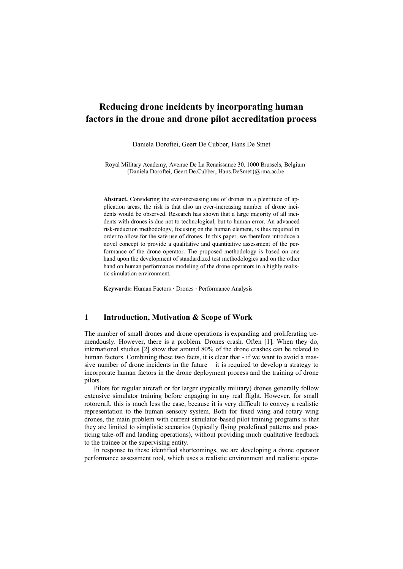# **Reducing drone incidents by incorporating human factors in the drone and drone pilot accreditation process**

Daniela Doroftei, Geert De Cubber, Hans De Smet

Royal Military Academy, Avenue De La Renaissance 30, 1000 Brussels, Belgium {Daniela.Doroftei, Geert.De.Cubber, Hans.DeSme[t}@rma.ac.be](mailto:%7D@rma.ac.be)

**Abstract.** Considering the ever-increasing use of drones in a plentitude of application areas, the risk is that also an ever-increasing number of drone incidents would be observed. Research has shown that a large majority of all incidents with drones is due not to technological, but to human error. An advanced risk-reduction methodology, focusing on the human element, is thus required in order to allow for the safe use of drones. In this paper, we therefore introduce a novel concept to provide a qualitative and quantitative assessment of the performance of the drone operator. The proposed methodology is based on one hand upon the development of standardized test methodologies and on the other hand on human performance modeling of the drone operators in a highly realistic simulation environment.

**Keywords:** Human Factors · Drones · Performance Analysis

### **1 Introduction, Motivation & Scope of Work**

The number of small drones and drone operations is expanding and proliferating tremendously. However, there is a problem. Drones crash. Often [1]. When they do, international studies [2] show that around 80% of the drone crashes can be related to human factors. Combining these two facts, it is clear that - if we want to avoid a massive number of drone incidents in the future  $-$  it is required to develop a strategy to incorporate human factors in the drone deployment process and the training of drone pilots.

Pilots for regular aircraft or for larger (typically military) drones generally follow extensive simulator training before engaging in any real flight. However, for small rotorcraft, this is much less the case, because it is very difficult to convey a realistic representation to the human sensory system. Both for fixed wing and rotary wing drones, the main problem with current simulator-based pilot training programs is that they are limited to simplistic scenarios (typically flying predefined patterns and practicing take-off and landing operations), without providing much qualitative feedback to the trainee or the supervising entity.

In response to these identified shortcomings, we are developing a drone operator performance assessment tool, which uses a realistic environment and realistic opera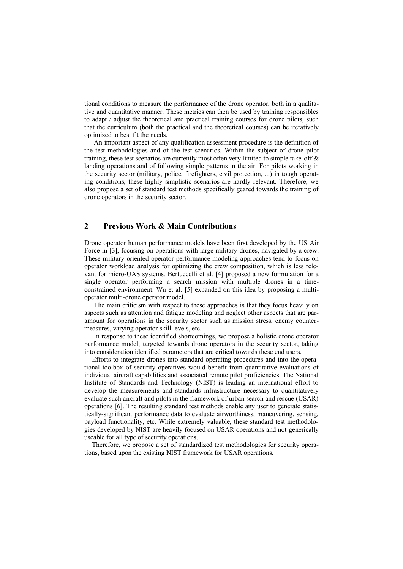tional conditions to measure the performance of the drone operator, both in a qualitative and quantitative manner. These metrics can then be used by training responsibles to adapt / adjust the theoretical and practical training courses for drone pilots, such that the curriculum (both the practical and the theoretical courses) can be iteratively optimized to best fit the needs.

An important aspect of any qualification assessment procedure is the definition of the test methodologies and of the test scenarios. Within the subject of drone pilot training, these test scenarios are currently most often very limited to simple take-off & landing operations and of following simple patterns in the air. For pilots working in the security sector (military, police, firefighters, civil protection, ...) in tough operating conditions, these highly simplistic scenarios are hardly relevant. Therefore, we also propose a set of standard test methods specifically geared towards the training of drone operators in the security sector.

#### **2 Previous Work & Main Contributions**

Drone operator human performance models have been first developed by the US Air Force in [3], focusing on operations with large military drones, navigated by a crew. These military-oriented operator performance modeling approaches tend to focus on operator workload analysis for optimizing the crew composition, which is less relevant for micro-UAS systems. Bertuccelli et al. [4] proposed a new formulation for a single operator performing a search mission with multiple drones in a timeconstrained environment. Wu et al. [5] expanded on this idea by proposing a multioperator multi-drone operator model.

The main criticism with respect to these approaches is that they focus heavily on aspects such as attention and fatigue modeling and neglect other aspects that are paramount for operations in the security sector such as mission stress, enemy countermeasures, varying operator skill levels, etc.

In response to these identified shortcomings, we propose a holistic drone operator performance model, targeted towards drone operators in the security sector, taking into consideration identified parameters that are critical towards these end users.

Efforts to integrate drones into standard operating procedures and into the operational toolbox of security operatives would benefit from quantitative evaluations of individual aircraft capabilities and associated remote pilot proficiencies. The National Institute of Standards and Technology (NIST) is leading an international effort to develop the measurements and standards infrastructure necessary to quantitatively evaluate such aircraft and pilots in the framework of urban search and rescue (USAR) operations [6]. The resulting standard test methods enable any user to generate statistically-significant performance data to evaluate airworthiness, maneuvering, sensing, payload functionality, etc. While extremely valuable, these standard test methodologies developed by NIST are heavily focused on USAR operations and not generically useable for all type of security operations.

Therefore, we propose a set of standardized test methodologies for security operations, based upon the existing NIST framework for USAR operations.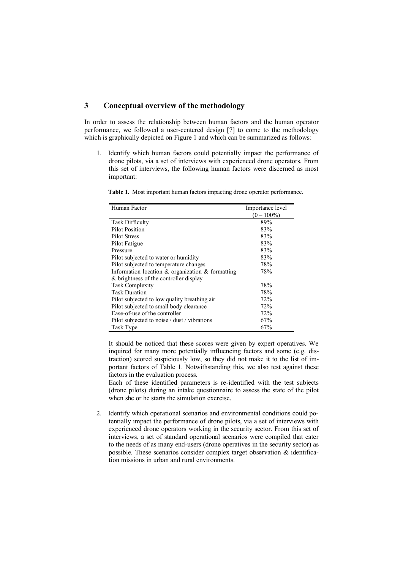# **3 Conceptual overview of the methodology**

In order to assess the relationship between human factors and the human operator performance, we followed a user-centered design [7] to come to the methodology which is graphically depicted on Figure 1 and which can be summarized as follows:

1. Identify which human factors could potentially impact the performance of drone pilots, via a set of interviews with experienced drone operators. From this set of interviews, the following human factors were discerned as most important:

**Table 1.** Most important human factors impacting drone operator performance.

| Human Factor                                           | Importance level |
|--------------------------------------------------------|------------------|
|                                                        | $(0-100\%)$      |
| <b>Task Difficulty</b>                                 | 89%              |
| Pilot Position                                         | 83%              |
| Pilot Stress                                           | 83%              |
| Pilot Fatigue                                          | 83%              |
| Pressure                                               | 83%              |
| Pilot subjected to water or humidity                   | 83%              |
| Pilot subjected to temperature changes                 | 78%              |
| Information location $\&$ organization $\&$ formatting | 78%              |
| & brightness of the controller display                 |                  |
| <b>Task Complexity</b>                                 | 78%              |
| <b>Task Duration</b>                                   | 78%              |
| Pilot subjected to low quality breathing air           | 72%              |
| Pilot subjected to small body clearance                | 72%              |
| Ease-of-use of the controller                          | 72%              |
| Pilot subjected to noise / dust / vibrations           | 67%              |
| Task Type                                              | 67%              |

It should be noticed that these scores were given by expert operatives. We inquired for many more potentially influencing factors and some (e.g. distraction) scored suspiciously low, so they did not make it to the list of important factors of Table 1. Notwithstanding this, we also test against these factors in the evaluation process.

Each of these identified parameters is re-identified with the test subjects (drone pilots) during an intake questionnaire to assess the state of the pilot when she or he starts the simulation exercise.

2. Identify which operational scenarios and environmental conditions could potentially impact the performance of drone pilots, via a set of interviews with experienced drone operators working in the security sector. From this set of interviews, a set of standard operational scenarios were compiled that cater to the needs of as many end-users (drone operatives in the security sector) as possible. These scenarios consider complex target observation & identification missions in urban and rural environments.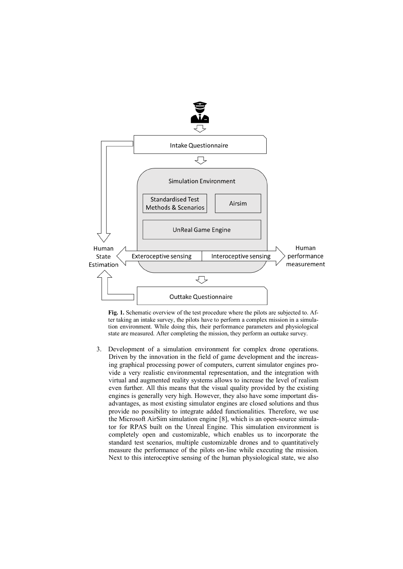

**Fig. 1.** Schematic overview of the test procedure where the pilots are subjected to. After taking an intake survey, the pilots have to perform a complex mission in a simulation environment. While doing this, their performance parameters and physiological state are measured. After completing the mission, they perform an outtake survey.

3. Development of a simulation environment for complex drone operations. Driven by the innovation in the field of game development and the increasing graphical processing power of computers, current simulator engines provide a very realistic environmental representation, and the integration with virtual and augmented reality systems allows to increase the level of realism even further. All this means that the visual quality provided by the existing engines is generally very high. However, they also have some important disadvantages, as most existing simulator engines are closed solutions and thus provide no possibility to integrate added functionalities. Therefore, we use the Microsoft AirSim simulation engine [8], which is an open-source simulator for RPAS built on the Unreal Engine. This simulation environment is completely open and customizable, which enables us to incorporate the standard test scenarios, multiple customizable drones and to quantitatively measure the performance of the pilots on-line while executing the mission. Next to this interoceptive sensing of the human physiological state, we also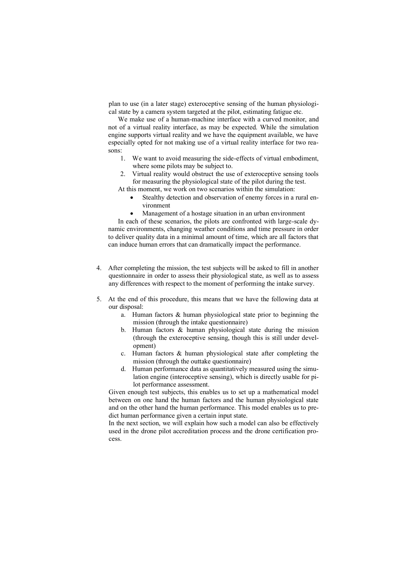plan to use (in a later stage) exteroceptive sensing of the human physiological state by a camera system targeted at the pilot, estimating fatigue etc.

We make use of a human-machine interface with a curved monitor, and not of a virtual reality interface, as may be expected. While the simulation engine supports virtual reality and we have the equipment available, we have especially opted for not making use of a virtual reality interface for two reasons:

- 1. We want to avoid measuring the side-effects of virtual embodiment, where some pilots may be subject to.
- 2. Virtual reality would obstruct the use of exteroceptive sensing tools for measuring the physiological state of the pilot during the test.

At this moment, we work on two scenarios within the simulation:

- Stealthy detection and observation of enemy forces in a rural environment
- Management of a hostage situation in an urban environment

In each of these scenarios, the pilots are confronted with large-scale dynamic environments, changing weather conditions and time pressure in order to deliver quality data in a minimal amount of time, which are all factors that can induce human errors that can dramatically impact the performance.

- 4. After completing the mission, the test subjects will be asked to fill in another questionnaire in order to assess their physiological state, as well as to assess any differences with respect to the moment of performing the intake survey.
- 5. At the end of this procedure, this means that we have the following data at our disposal:
	- a. Human factors & human physiological state prior to beginning the mission (through the intake questionnaire)
	- b. Human factors & human physiological state during the mission (through the exteroceptive sensing, though this is still under development)
	- c. Human factors & human physiological state after completing the mission (through the outtake questionnaire)
	- d. Human performance data as quantitatively measured using the simulation engine (interoceptive sensing), which is directly usable for pilot performance assessment.

Given enough test subjects, this enables us to set up a mathematical model between on one hand the human factors and the human physiological state and on the other hand the human performance. This model enables us to predict human performance given a certain input state.

In the next section, we will explain how such a model can also be effectively used in the drone pilot accreditation process and the drone certification process.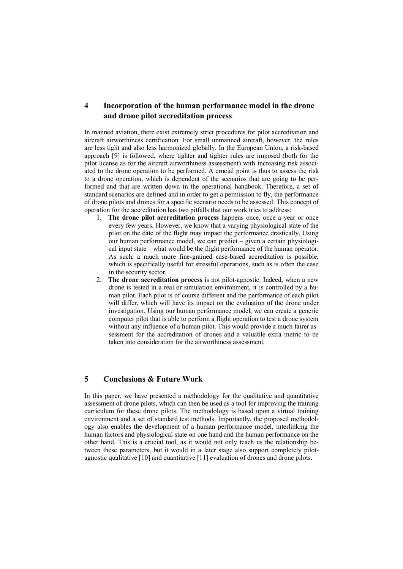# **4 Incorporation of the human performance model in the drone and drone pilot accreditation process**

In manned aviation, there exist extremely strict procedures for pilot accreditation and aircraft airworthiness certification. For small unmanned aircraft, however, the rules are less tight and also less harmonized globally. In the European Union, a risk-based approach [9] is followed, where tighter and tighter rules are imposed (both for the pilot license as for the aircraft airworthiness assessment) with increasing risk associated to the drone operation to be performed. A crucial point is thus to assess the risk to a drone operation, which is dependent of the scenarios that are going to be performed and that are written down in the operational handbook. Therefore, a set of standard scenarios are defined and in order to get a permission to fly, the performance of drone pilots and drones for a specific scenario needs to be assessed. This concept of operation for the accreditation has two pitfalls that our work tries to address:

- 1. **The drone pilot accreditation process** happens once, once a year or once every few years. However, we know that a varying physiological state of the pilot on the date of the flight may impact the performance drastically. Using our human performance model, we can predict – given a certain physiological input state – what would be the flight performance of the human operator. As such, a much more fine-grained case-based accreditation is possible, which is specifically useful for stressful operations, such as is often the case in the security sector.
- 2. **The drone accreditation process** is not pilot-agnostic. Indeed, when a new drone is tested in a real or simulation environment, it is controlled by a human pilot. Each pilot is of course different and the performance of each pilot will differ, which will have its impact on the evaluation of the drone under investigation. Using our human performance model, we can create a generic computer pilot that is able to perform a flight operation to test a drone system without any influence of a human pilot. This would provide a much fairer assessment for the accreditation of drones and a valuable extra metric to be taken into consideration for the airworthiness assessment.

# **5 Conclusions & Future Work**

In this paper, we have presented a methodology for the qualitative and quantitative assessment of drone pilots, which can then be used as a tool for improving the training curriculum for these drone pilots. The methodology is based upon a virtual training environment and a set of standard test methods. Importantly, the proposed methodology also enables the development of a human performance model, interlinking the human factors and physiological state on one hand and the human performance on the other hand. This is a crucial tool, as it would not only teach us the relationship between these parameters, but it would in a later stage also support completely pilotagnostic qualitative [10] and quantitative [11] evaluation of drones and drone pilots.